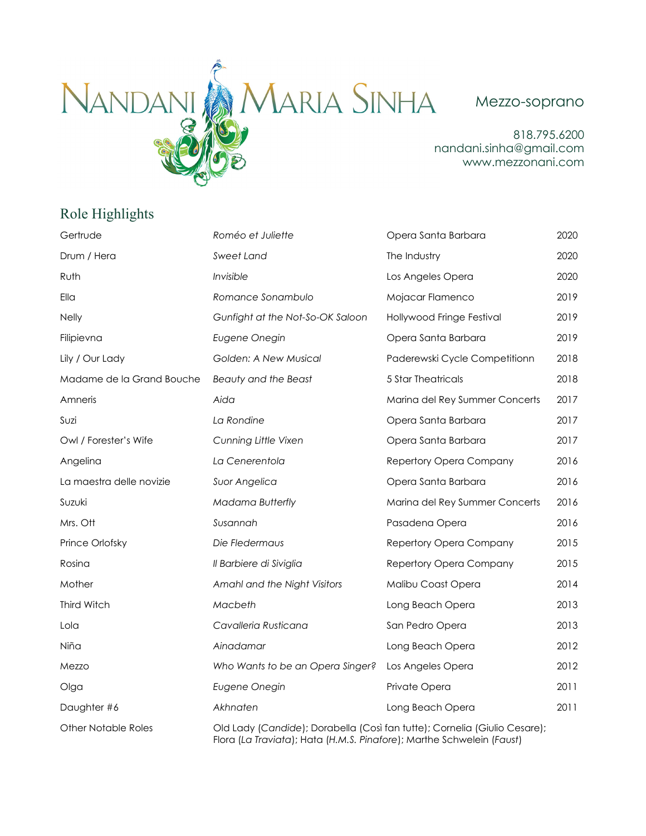

818.795.6200 nandani.sinha@gmail.com www.mezzonani.com

## Role Highlights

| Gertrude                   | Roméo et Juliette                                                         | Opera Santa Barbara            | 2020 |
|----------------------------|---------------------------------------------------------------------------|--------------------------------|------|
| Drum / Hera                | Sweet Land                                                                | The Industry                   | 2020 |
| Ruth                       | Invisible                                                                 | Los Angeles Opera              | 2020 |
| Ella                       | Romance Sonambulo                                                         | Mojacar Flamenco               | 2019 |
| <b>Nelly</b>               | Gunfight at the Not-So-OK Saloon                                          | Hollywood Fringe Festival      | 2019 |
| Filipievna                 | Eugene Onegin                                                             | Opera Santa Barbara            | 2019 |
| Lily / Our Lady            | Golden: A New Musical                                                     | Paderewski Cycle Competitionn  | 2018 |
| Madame de la Grand Bouche  | Beauty and the Beast                                                      | <b>5 Star Theatricals</b>      | 2018 |
| Amneris                    | Aida                                                                      | Marina del Rey Summer Concerts | 2017 |
| Suzi                       | La Rondine                                                                | Opera Santa Barbara            | 2017 |
| Owl / Forester's Wife      | Cunning Little Vixen                                                      | Opera Santa Barbara            | 2017 |
| Angelina                   | La Cenerentola                                                            | Repertory Opera Company        | 2016 |
| La maestra delle novizie   | Suor Angelica                                                             | Opera Santa Barbara            | 2016 |
| Suzuki                     | <b>Madama Butterfly</b>                                                   | Marina del Rey Summer Concerts | 2016 |
| Mrs. Ott                   | Susannah                                                                  | Pasadena Opera                 | 2016 |
| Prince Orlofsky            | Die Fledermaus                                                            | Repertory Opera Company        | 2015 |
| Rosina                     | Il Barbiere di Siviglia                                                   | Repertory Opera Company        | 2015 |
| Mother                     | Amahl and the Night Visitors                                              | Malibu Coast Opera             | 2014 |
| Third Witch                | Macbeth                                                                   | Long Beach Opera               | 2013 |
| Lola                       | Cavalleria Rusticana                                                      | San Pedro Opera                | 2013 |
| Niña                       | Ainadamar                                                                 | Long Beach Opera               | 2012 |
| Mezzo                      | Who Wants to be an Opera Singer?                                          | Los Angeles Opera              | 2012 |
| Olga                       | Eugene Onegin                                                             | Private Opera                  | 2011 |
| Daughter #6                | Akhnaten                                                                  | Long Beach Opera               | 2011 |
| <b>Other Notable Roles</b> | Old Lady (Candide); Dorabella (Così fan tutte); Cornelia (Giulio Cesare); |                                |      |

Flora (*La Traviata*); Hata (*H.M.S. Pinafore*); Marthe Schwelein (*Faust*)